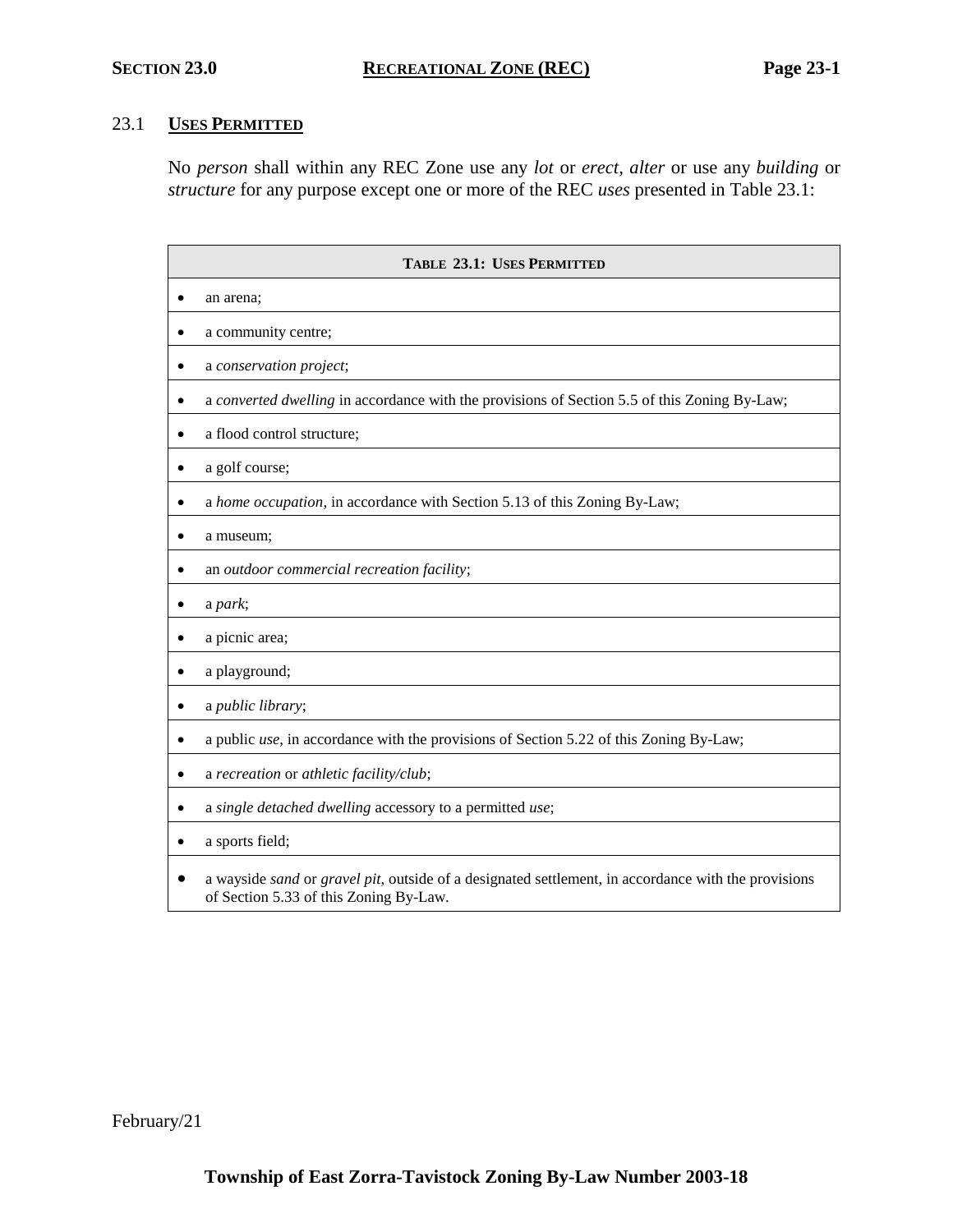# 23.1 **USES PERMITTED**

No *person* shall within any REC Zone use any *lot* or *erect, alter* or use any *building* or *structure* for any purpose except one or more of the REC *uses* presented in Table 23.1:

| <b>TABLE 23.1: USES PERMITTED</b>                                                                                                             |  |  |
|-----------------------------------------------------------------------------------------------------------------------------------------------|--|--|
| an arena;                                                                                                                                     |  |  |
| a community centre;                                                                                                                           |  |  |
| a conservation project;                                                                                                                       |  |  |
| a converted dwelling in accordance with the provisions of Section 5.5 of this Zoning By-Law;                                                  |  |  |
| a flood control structure;                                                                                                                    |  |  |
| a golf course;<br>$\bullet$                                                                                                                   |  |  |
| a home occupation, in accordance with Section 5.13 of this Zoning By-Law;                                                                     |  |  |
| a museum;                                                                                                                                     |  |  |
| an outdoor commercial recreation facility;                                                                                                    |  |  |
| a park;                                                                                                                                       |  |  |
| a picnic area;                                                                                                                                |  |  |
| a playground;                                                                                                                                 |  |  |
| a public library;                                                                                                                             |  |  |
| a public use, in accordance with the provisions of Section 5.22 of this Zoning By-Law;<br>٠                                                   |  |  |
| a recreation or athletic facility/club;<br>٠                                                                                                  |  |  |
| a single detached dwelling accessory to a permitted use;                                                                                      |  |  |
| a sports field;                                                                                                                               |  |  |
| a wayside sand or gravel pit, outside of a designated settlement, in accordance with the provisions<br>of Section 5.33 of this Zoning By-Law. |  |  |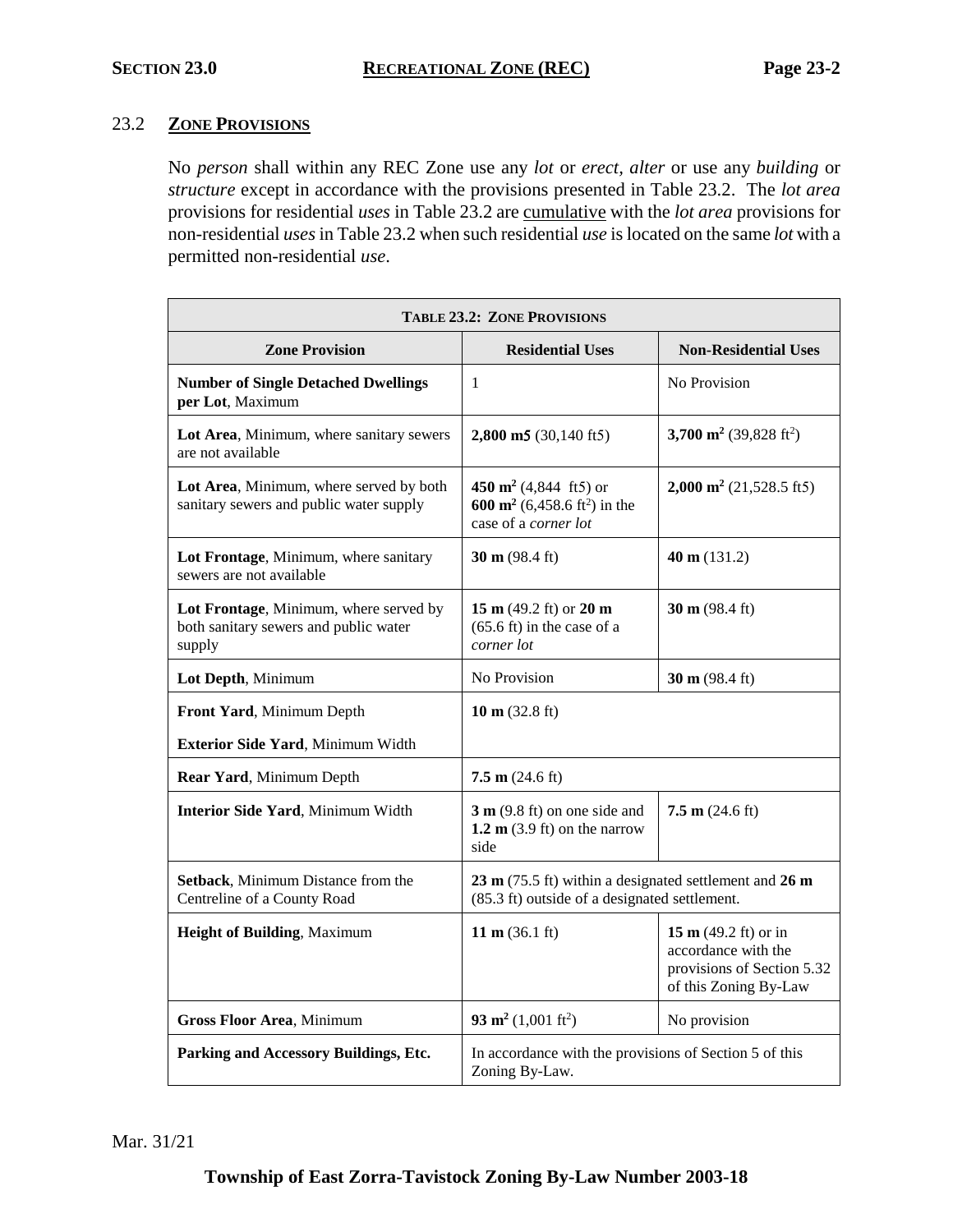# 23.2 **ZONE PROVISIONS**

No *person* shall within any REC Zone use any *lot* or *erect, alter* or use any *building* or *structure* except in accordance with the provisions presented in Table 23.2. The *lot area* provisions for residential *uses* in Table 23.2 are cumulative with the *lot area* provisions for non-residential *uses*in Table 23.2 when such residential *use* is located on the same *lot* with a permitted non-residential *use*.

| <b>TABLE 23.2: ZONE PROVISIONS</b>                                                        |                                                                                                                             |                                                                                                              |  |
|-------------------------------------------------------------------------------------------|-----------------------------------------------------------------------------------------------------------------------------|--------------------------------------------------------------------------------------------------------------|--|
| <b>Zone Provision</b>                                                                     | <b>Residential Uses</b>                                                                                                     | <b>Non-Residential Uses</b>                                                                                  |  |
| <b>Number of Single Detached Dwellings</b><br>per Lot, Maximum                            | 1                                                                                                                           | No Provision                                                                                                 |  |
| Lot Area, Minimum, where sanitary sewers<br>are not available                             | $2,800 \text{ m}5 (30,140 \text{ ft}5)$                                                                                     | 3,700 m <sup>2</sup> (39,828 ft <sup>2</sup> )                                                               |  |
| Lot Area, Minimum, where served by both<br>sanitary sewers and public water supply        | 450 $\text{m}^2$ (4,844 ft5) or<br>600 m <sup>2</sup> (6,458.6 ft <sup>2</sup> ) in the<br>case of a corner lot             | $2,000 \text{ m}^2$ (21,528.5 ft5)                                                                           |  |
| Lot Frontage, Minimum, where sanitary<br>sewers are not available                         | 30 m $(98.4 \text{ ft})$                                                                                                    | 40 m $(131.2)$                                                                                               |  |
| Lot Frontage, Minimum, where served by<br>both sanitary sewers and public water<br>supply | 15 m $(49.2 \text{ ft})$ or 20 m<br>$(65.6 \text{ ft})$ in the case of a<br>corner lot                                      | 30 m $(98.4 \text{ ft})$                                                                                     |  |
| Lot Depth, Minimum                                                                        | No Provision                                                                                                                | 30 m $(98.4 \text{ ft})$                                                                                     |  |
| Front Yard, Minimum Depth                                                                 | 10 m $(32.8 \text{ ft})$                                                                                                    |                                                                                                              |  |
| Exterior Side Yard, Minimum Width                                                         |                                                                                                                             |                                                                                                              |  |
| Rear Yard, Minimum Depth                                                                  | $7.5 \text{ m}$ (24.6 ft)                                                                                                   |                                                                                                              |  |
| Interior Side Yard, Minimum Width                                                         | $3 \text{ m}$ (9.8 ft) on one side and<br>1.2 $m$ (3.9 ft) on the narrow<br>side                                            | 7.5 m $(24.6 \text{ ft})$                                                                                    |  |
| Setback, Minimum Distance from the<br>Centreline of a County Road                         | $23 \text{ m}$ (75.5 ft) within a designated settlement and $26 \text{ m}$<br>(85.3 ft) outside of a designated settlement. |                                                                                                              |  |
| Height of Building, Maximum                                                               | 11 m $(36.1 \text{ ft})$                                                                                                    | 15 m $(49.2 \text{ ft})$ or in<br>accordance with the<br>provisions of Section 5.32<br>of this Zoning By-Law |  |
| <b>Gross Floor Area, Minimum</b>                                                          | 93 m <sup>2</sup> (1,001 ft <sup>2</sup> )                                                                                  | No provision                                                                                                 |  |
| Parking and Accessory Buildings, Etc.                                                     | In accordance with the provisions of Section 5 of this<br>Zoning By-Law.                                                    |                                                                                                              |  |

Mar. 31/21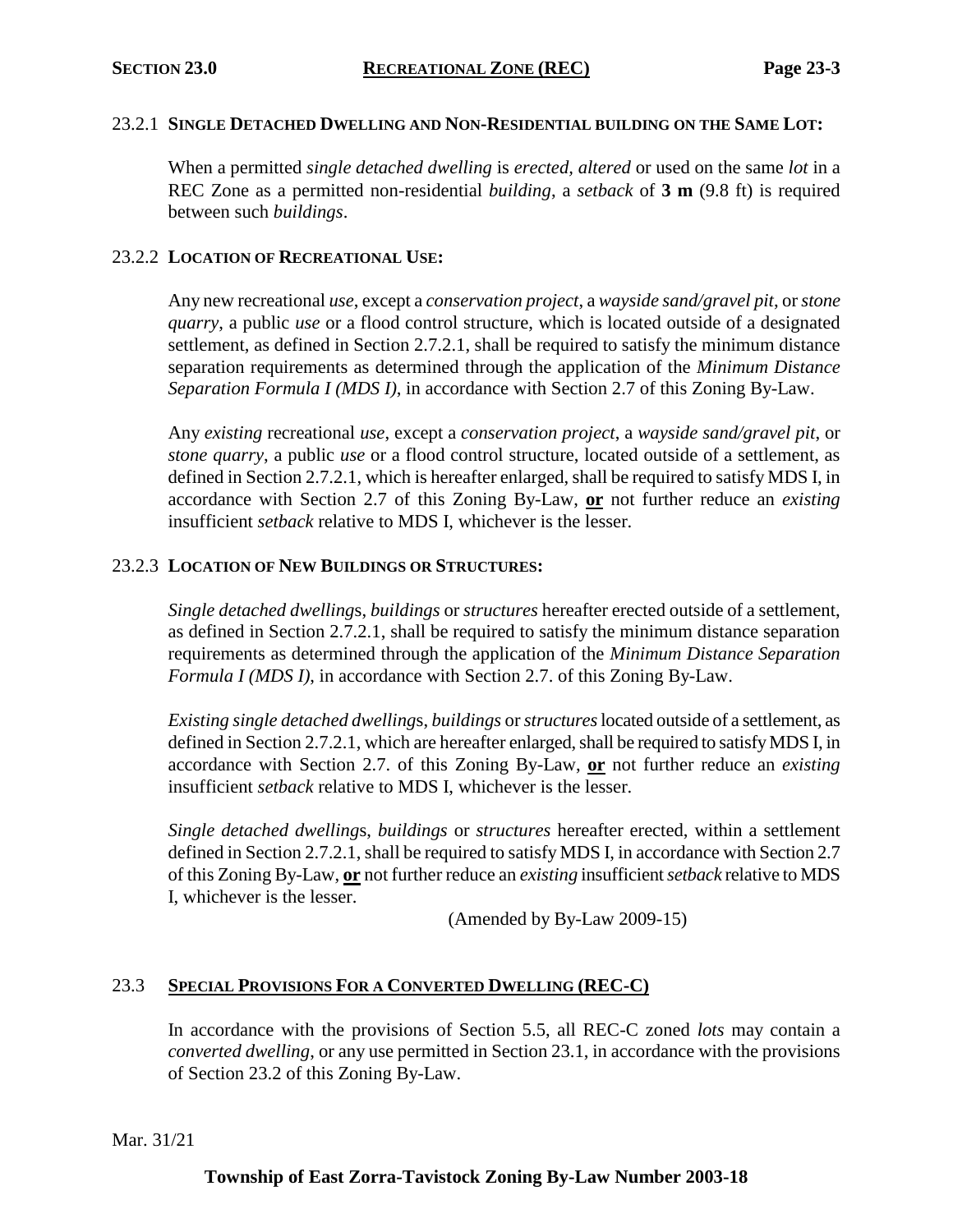### 23.2.1 **SINGLE DETACHED DWELLING AND NON-RESIDENTIAL BUILDING ON THE SAME LOT:**

When a permitted *single detached dwelling* is *erected, altered* or used on the same *lot* in a REC Zone as a permitted non-residential *building*, a *setback* of **3 m** (9.8 ft) is required between such *buildings*.

### 23.2.2 **LOCATION OF RECREATIONAL USE:**

Any new recreational *use*, except a *conservation project*, a *wayside sand/gravel pit*, or *stone quarry*, a public *use* or a flood control structure, which is located outside of a designated settlement, as defined in Section 2.7.2.1, shall be required to satisfy the minimum distance separation requirements as determined through the application of the *Minimum Distance Separation Formula I (MDS I)*, in accordance with Section 2.7 of this Zoning By-Law.

Any *existing* recreational *use*, except a *conservation project*, a *wayside sand/gravel pit*, or *stone quarry*, a public *use* or a flood control structure, located outside of a settlement, as defined in Section 2.7.2.1, which is hereafter enlarged, shall be required to satisfy MDS I, in accordance with Section 2.7 of this Zoning By-Law, **or** not further reduce an *existing* insufficient *setback* relative to MDS I, whichever is the lesser.

## 23.2.3 **LOCATION OF NEW BUILDINGS OR STRUCTURES:**

*Single detached dwelling*s, *buildings* or *structures* hereafter erected outside of a settlement, as defined in Section 2.7.2.1, shall be required to satisfy the minimum distance separation requirements as determined through the application of the *Minimum Distance Separation Formula I (MDS I)*, in accordance with Section 2.7. of this Zoning By-Law.

*Existing single detached dwelling*s, *buildings* or *structures*located outside of a settlement, as defined in Section 2.7.2.1, which are hereafter enlarged, shall be required to satisfy MDS I, in accordance with Section 2.7. of this Zoning By-Law, **or** not further reduce an *existing* insufficient *setback* relative to MDS I, whichever is the lesser.

*Single detached dwelling*s, *buildings* or *structures* hereafter erected, within a settlement defined in Section 2.7.2.1, shall be required to satisfy MDS I, in accordance with Section 2.7 of this Zoning By-Law, **or** not further reduce an *existing* insufficient *setback* relative to MDS I, whichever is the lesser.

(Amended by By-Law 2009-15)

### 23.3 **SPECIAL PROVISIONS FOR A CONVERTED DWELLING (REC-C)**

In accordance with the provisions of Section 5.5, all REC-C zoned *lots* may contain a *converted dwelling*, or any use permitted in Section 23.1, in accordance with the provisions of Section 23.2 of this Zoning By-Law.

Mar. 31/21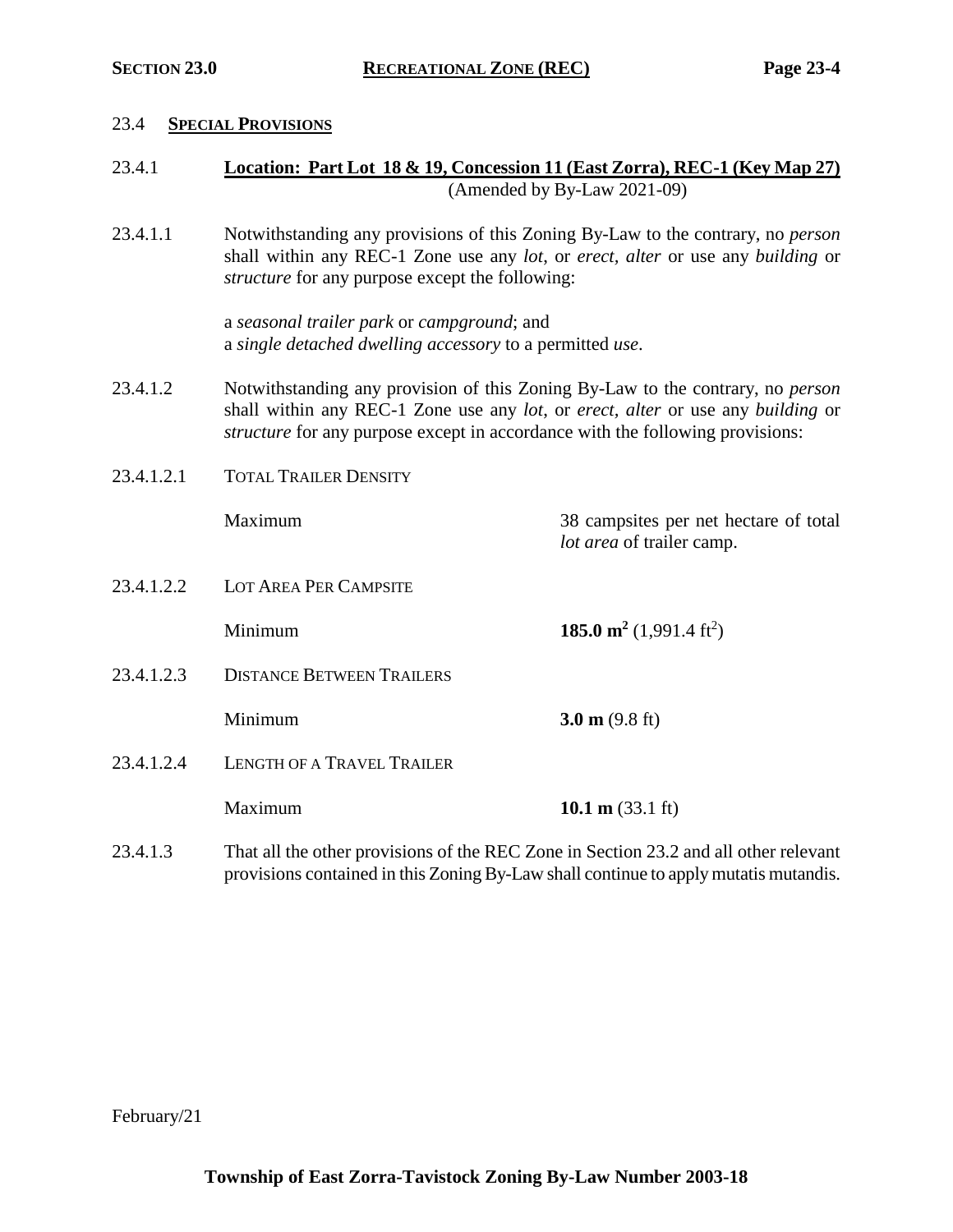#### 23.4 **SPECIAL PROVISIONS**

| 23.4.1 | Location: Part Lot 18 & 19, Concession 11 (East Zorra), REC-1 (Key Map 27) |
|--------|----------------------------------------------------------------------------|
|        | (Amended by By-Law $2021-09$ )                                             |

23.4.1.1 Notwithstanding any provisions of this Zoning By-Law to the contrary, no *person* shall within any REC-1 Zone use any *lot*, or *erect, alter* or use any *building* or *structure* for any purpose except the following:

> a *seasonal trailer park* or *campground*; and a *single detached dwelling accessory* to a permitted *use*.

23.4.1.2 Notwithstanding any provision of this Zoning By-Law to the contrary, no *person* shall within any REC-1 Zone use any *lot*, or *erect, alter* or use any *building* or *structure* for any purpose except in accordance with the following provisions:

*lot area* of trailer camp.

23.4.1.2.1 TOTAL TRAILER DENSITY

Maximum 38 campsites per net hectare of total

23.4.1.2.2 LOT AREA PER CAMPSITE

**185.0 m**<sup>2</sup> (1,991.4 ft<sup>2</sup>)

23.4.1.2.3 DISTANCE BETWEEN TRAILERS

**Minimum 3.0 m** (9.8 ft)

- 23.4.1.2.4 LENGTH OF A TRAVEL TRAILER
	- **Maximum 10.1 m** (33.1 ft)
- 23.4.1.3 That all the other provisions of the REC Zone in Section 23.2 and all other relevant provisions contained in this Zoning By-Law shall continue to apply mutatis mutandis.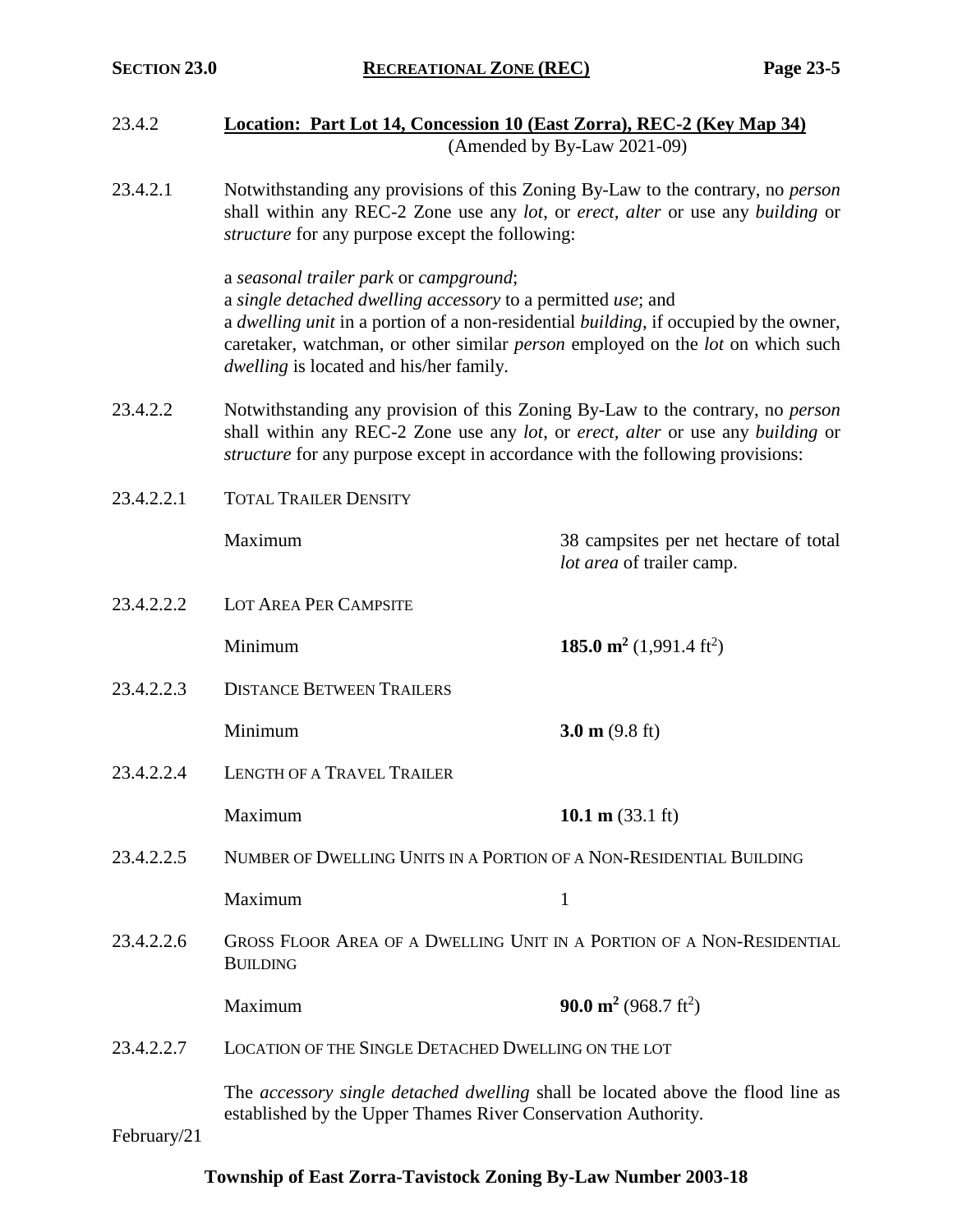- 23.4.2 **Location: Part Lot 14, Concession 10 (East Zorra), REC-2 (Key Map 34)** (Amended by By-Law 2021-09)
- 23.4.2.1 Notwithstanding any provisions of this Zoning By-Law to the contrary, no *person* shall within any REC-2 Zone use any *lot*, or *erect, alter* or use any *building* or *structure* for any purpose except the following:

a *seasonal trailer park* or *campground*; a *single detached dwelling accessory* to a permitted *use*; and a *dwelling unit* in a portion of a non-residential *building*, if occupied by the owner, caretaker, watchman, or other similar *person* employed on the *lot* on which such *dwelling* is located and his/her family.

*lot area* of trailer camp.

- 23.4.2.2 Notwithstanding any provision of this Zoning By-Law to the contrary, no *person* shall within any REC-2 Zone use any *lot*, or *erect, alter* or use any *building* or *structure* for any purpose except in accordance with the following provisions:
- 23.4.2.2.1 TOTAL TRAILER DENSITY

Maximum 38 campsites per net hectare of total

23.4.2.2.2 LOT AREA PER CAMPSITE

**185.0 m<sup>2</sup>** (1,991.4 ft<sup>2</sup>)

23.4.2.2.3 DISTANCE BETWEEN TRAILERS

Minimum **3.0 m** (9.8 ft)

23.4.2.2.4 LENGTH OF A TRAVEL TRAILER

Maximum **10.1 m** (33.1 ft)

23.4.2.2.5 NUMBER OF DWELLING UNITS IN A PORTION OF A NON-RESIDENTIAL BUILDING

Maximum 1

23.4.2.2.6 GROSS FLOOR AREA OF A DWELLING UNIT IN A PORTION OF A NON-RESIDENTIAL **BUILDING** 

**Maximum 90.0 m<sup>2</sup> (968.7 ft<sup>2</sup>)** 

23.4.2.2.7 LOCATION OF THE SINGLE DETACHED DWELLING ON THE LOT

The *accessory single detached dwelling* shall be located above the flood line as established by the Upper Thames River Conservation Authority.

February/21

# **Township of East Zorra-Tavistock Zoning By-Law Number 2003-18**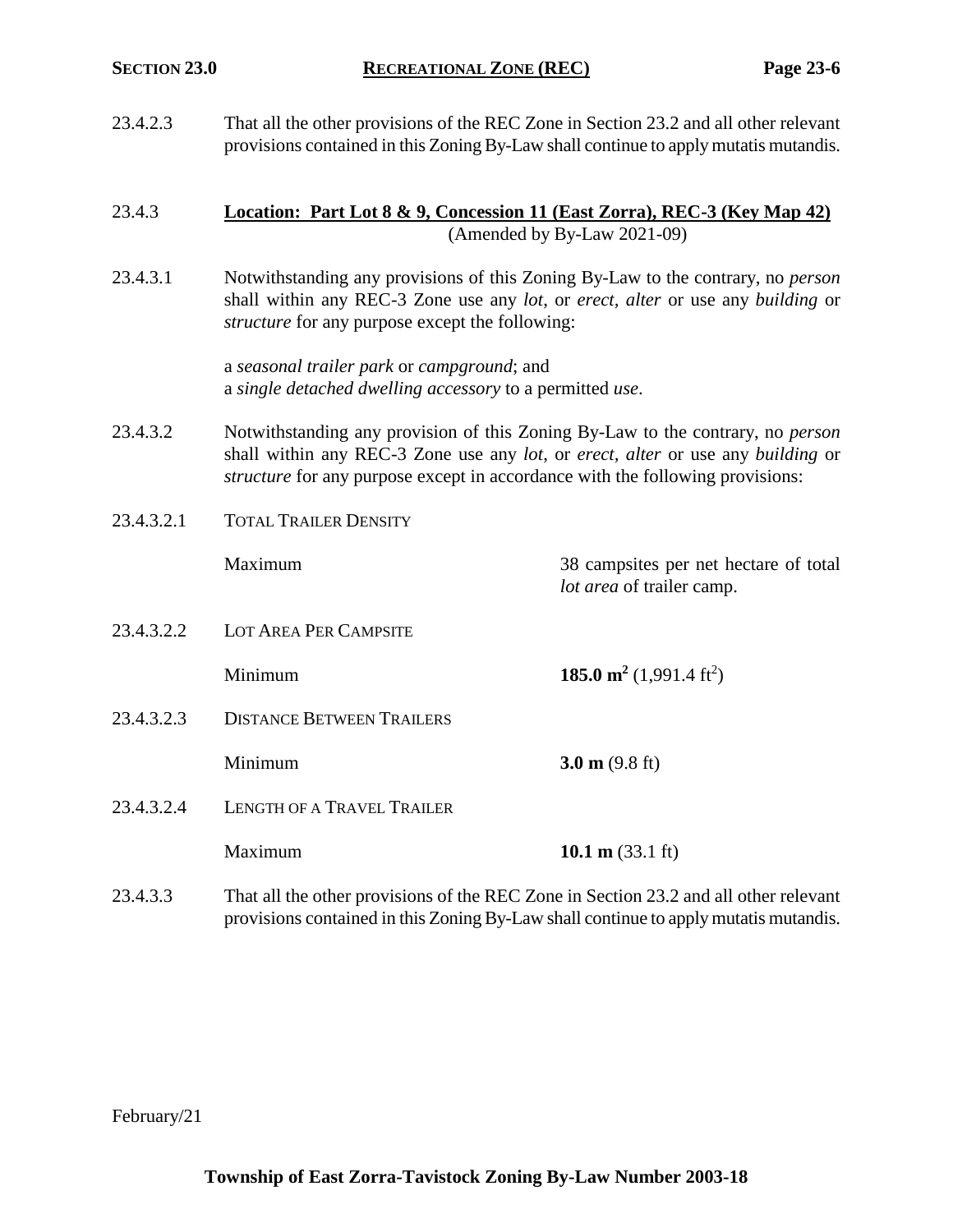23.4.2.3 That all the other provisions of the REC Zone in Section 23.2 and all other relevant provisions contained in this Zoning By-Law shall continue to apply mutatis mutandis.

## 23.4.3 **Location: Part Lot 8 & 9, Concession 11 (East Zorra), REC-3 (Key Map 42)** (Amended by By-Law 2021-09)

23.4.3.1 Notwithstanding any provisions of this Zoning By-Law to the contrary, no *person* shall within any REC-3 Zone use any *lot*, or *erect, alter* or use any *building* or *structure* for any purpose except the following:

> a *seasonal trailer park* or *campground*; and a *single detached dwelling accessory* to a permitted *use*.

23.4.3.2 Notwithstanding any provision of this Zoning By-Law to the contrary, no *person* shall within any REC-3 Zone use any *lot*, or *erect, alter* or use any *building* or *structure* for any purpose except in accordance with the following provisions:

*lot area* of trailer camp.

23.4.3.2.1 TOTAL TRAILER DENSITY

Maximum 38 campsites per net hectare of total

23.4.3.2.2 LOT AREA PER CAMPSITE

**185.0 m<sup>2</sup>** (1,991.4 ft<sup>2</sup>)

23.4.3.2.3 DISTANCE BETWEEN TRAILERS

**Minimum 3.0 m** (9.8 ft)

- 23.4.3.2.4 LENGTH OF A TRAVEL TRAILER
	- Maximum **10.1 m** (33.1 ft)
- 23.4.3.3 That all the other provisions of the REC Zone in Section 23.2 and all other relevant provisions contained in this Zoning By-Law shall continue to apply mutatis mutandis.